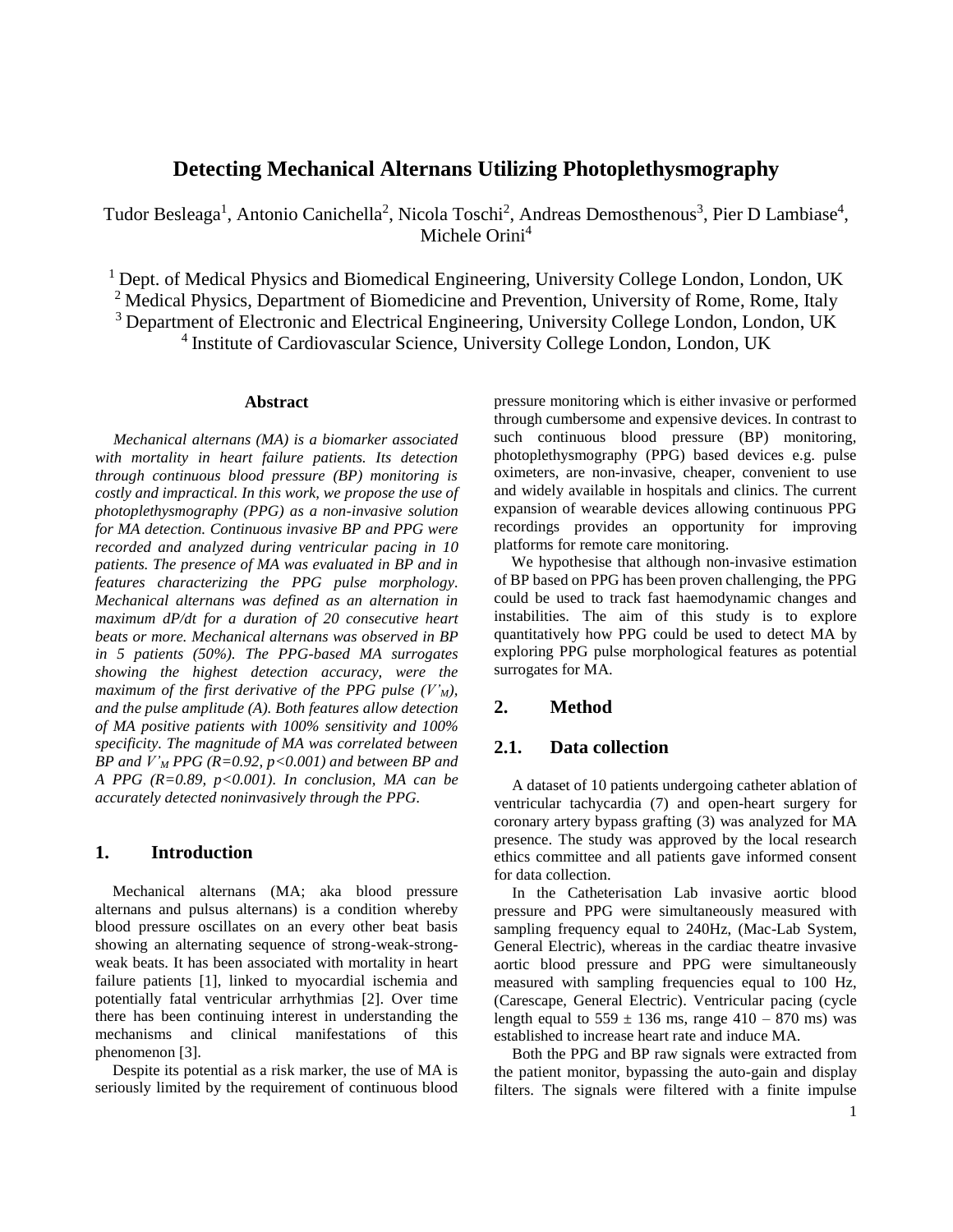# **Detecting Mechanical Alternans Utilizing Photoplethysmography**

Tudor Besleaga<sup>1</sup>, Antonio Canichella<sup>2</sup>, Nicola Toschi<sup>2</sup>, Andreas Demosthenous<sup>3</sup>, Pier D Lambiase<sup>4</sup>, Michele Orini<sup>4</sup>

<sup>1</sup> Dept. of Medical Physics and Biomedical Engineering, University College London, London, UK <sup>2</sup> Medical Physics, Department of Biomedicine and Prevention, University of Rome, Rome, Italy

<sup>3</sup> Department of Electronic and Electrical Engineering, University College London, London, UK

4 Institute of Cardiovascular Science, University College London, London, UK

### **Abstract**

*Mechanical alternans (MA) is a biomarker associated with mortality in heart failure patients. Its detection through continuous blood pressure (BP) monitoring is costly and impractical. In this work, we propose the use of photoplethysmography (PPG) as a non-invasive solution for MA detection. Continuous invasive BP and PPG were recorded and analyzed during ventricular pacing in 10 patients. The presence of MA was evaluated in BP and in features characterizing the PPG pulse morphology. Mechanical alternans was defined as an alternation in maximum dP/dt for a duration of 20 consecutive heart beats or more. Mechanical alternans was observed in BP in 5 patients (50%). The PPG-based MA surrogates showing the highest detection accuracy, were the maximum of the first derivative of the PPG pulse*  $(V<sub>M</sub>)$ , *and the pulse amplitude (A). Both features allow detection of MA positive patients with 100% sensitivity and 100% specificity. The magnitude of MA was correlated between BP and V'<sup>M</sup> PPG (R=0.92, p<0.001) and between BP and A PPG (R=0.89, p<0.001). In conclusion, MA can be accurately detected noninvasively through the PPG.*

# **1. Introduction**

Mechanical alternans (MA; aka blood pressure alternans and pulsus alternans) is a condition whereby blood pressure oscillates on an every other beat basis showing an alternating sequence of strong-weak-strongweak beats. It has been associated with mortality in heart failure patients [1], linked to myocardial ischemia and potentially fatal ventricular arrhythmias [2]. Over time there has been continuing interest in understanding the mechanisms and clinical manifestations of this phenomenon [3].

Despite its potential as a risk marker, the use of MA is seriously limited by the requirement of continuous blood

pressure monitoring which is either invasive or performed through cumbersome and expensive devices. In contrast to such continuous blood pressure (BP) monitoring, photoplethysmography (PPG) based devices e.g. pulse oximeters, are non-invasive, cheaper, convenient to use and widely available in hospitals and clinics. The current expansion of wearable devices allowing continuous PPG recordings provides an opportunity for improving platforms for remote care monitoring.

We hypothesise that although non-invasive estimation of BP based on PPG has been proven challenging, the PPG could be used to track fast haemodynamic changes and instabilities. The aim of this study is to explore quantitatively how PPG could be used to detect MA by exploring PPG pulse morphological features as potential surrogates for MA.

#### **2. Method**

# **2.1. Data collection**

A dataset of 10 patients undergoing catheter ablation of ventricular tachycardia (7) and open-heart surgery for coronary artery bypass grafting (3) was analyzed for MA presence. The study was approved by the local research ethics committee and all patients gave informed consent for data collection.

In the Catheterisation Lab invasive aortic blood pressure and PPG were simultaneously measured with sampling frequency equal to 240Hz, (Mac-Lab System, General Electric), whereas in the cardiac theatre invasive aortic blood pressure and PPG were simultaneously measured with sampling frequencies equal to 100 Hz, (Carescape, General Electric). Ventricular pacing (cycle length equal to  $559 \pm 136$  ms, range  $410 - 870$  ms) was established to increase heart rate and induce MA.

Both the PPG and BP raw signals were extracted from the patient monitor, bypassing the auto-gain and display filters. The signals were filtered with a finite impulse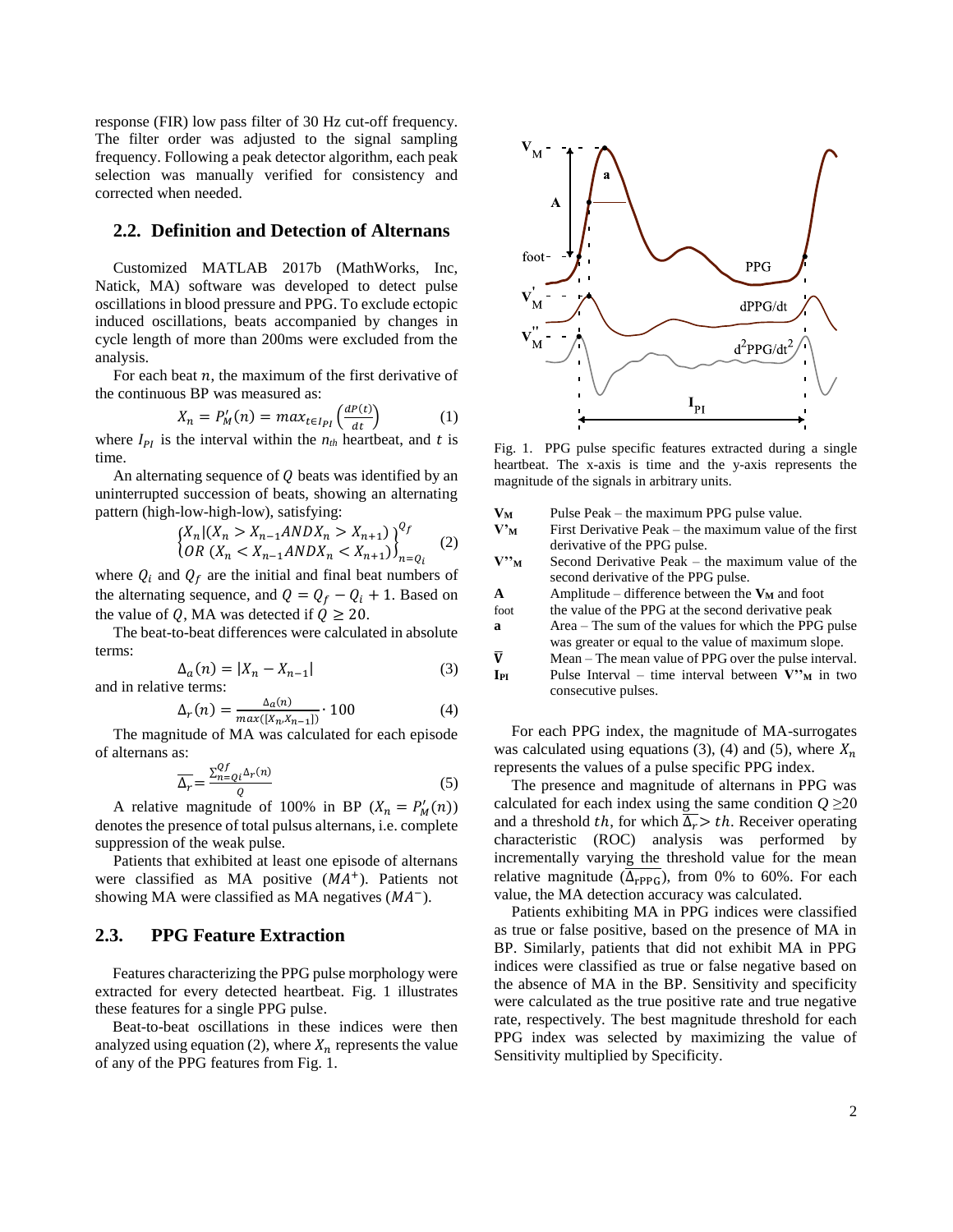response (FIR) low pass filter of 30 Hz cut-off frequency. The filter order was adjusted to the signal sampling frequency. Following a peak detector algorithm, each peak selection was manually verified for consistency and corrected when needed.

# **2.2. Definition and Detection of Alternans**

Customized MATLAB 2017b (MathWorks, Inc, Natick, MA) software was developed to detect pulse oscillations in blood pressure and PPG. To exclude ectopic induced oscillations, beats accompanied by changes in cycle length of more than 200ms were excluded from the analysis.

For each beat  $n$ , the maximum of the first derivative of the continuous BP was measured as:

$$
X_n = P'_M(n) = max_{t \in I_{PI}} \left( \frac{dP(t)}{dt} \right) \tag{1}
$$

where  $I_{PI}$  is the interval within the  $n_{th}$  heartbeat, and t is time.

An alternating sequence of  $Q$  beats was identified by an uninterrupted succession of beats, showing an alternating pattern (high-low-high-low), satisfying:

$$
\begin{cases} X_n | (X_n > X_{n-1}ANDX_n > X_{n+1}) \\ OR \ (X_n < X_{n-1}ANDX_n < X_{n+1}) \end{cases}^{Q_f} \tag{2}
$$

where  $Q_i$  and  $Q_f$  are the initial and final beat numbers of the alternating sequence, and  $Q = Q_f - Q_i + 1$ . Based on the value of Q, MA was detected if  $Q \ge 20$ .

The beat-to-beat differences were calculated in absolute terms:

$$
\Delta_a(n) = |X_n - X_{n-1}|
$$
\n(3)

\nand in relative terms:

$$
\Delta_r(n) = \frac{\Delta_a(n)}{\max([X_n, X_{n-1}])} \cdot 100\tag{4}
$$

The magnitude of MA was calculated for each episode of alternans as:

$$
\overline{\Delta_r} = \frac{\sum_{n=Q_i}^{Qf} \Delta_r(n)}{Q} \tag{5}
$$

A relative magnitude of 100% in BP  $(X_n = P'_M(n))$ denotes the presence of total pulsus alternans, i.e. complete suppression of the weak pulse.

Patients that exhibited at least one episode of alternans were classified as MA positive  $(MA<sup>+</sup>)$ . Patients not showing MA were classified as MA negatives  $(MA^{-})$ .

# **2.3. PPG Feature Extraction**

Features characterizing the PPG pulse morphology were extracted for every detected heartbeat. Fig. 1 illustrates these features for a single PPG pulse.

Beat-to-beat oscillations in these indices were then analyzed using equation (2), where  $X_n$  represents the value of any of the PPG features from Fig. 1.



Fig. 1. PPG pulse specific features extracted during a single heartbeat. The x-axis is time and the y-axis represents the magnitude of the signals in arbitrary units.

| Vм                                                                                   | Pulse Peak – the maximum PPG pulse value.              |
|--------------------------------------------------------------------------------------|--------------------------------------------------------|
| $V_{\rm M}^{\prime}$                                                                 | First Derivative Peak – the maximum value of the first |
|                                                                                      | derivative of the PPG pulse.                           |
| $\mathbf{V}^{\boldsymbol{\boldsymbol{\nu}}\boldsymbol{\boldsymbol{\nu}}_\mathbf{M}}$ | Second Derivative Peak – the maximum value of the      |
|                                                                                      | second derivative of the PPG pulse.                    |
| A                                                                                    | Amplitude – difference between the $V_M$ and foot      |
| foot                                                                                 | the value of the PPG at the second derivative peak     |
| a                                                                                    | Area – The sum of the values for which the PPG pulse   |
|                                                                                      | was greater or equal to the value of maximum slope.    |
| $\overline{\mathbf{V}}$                                                              | Mean – The mean value of PPG over the pulse interval.  |
| IPI                                                                                  | Pulse Interval – time interval between $V''$ in two    |
|                                                                                      | consecutive pulses.                                    |

For each PPG index, the magnitude of MA-surrogates was calculated using equations (3), (4) and (5), where  $X_n$ represents the values of a pulse specific PPG index.

The presence and magnitude of alternans in PPG was calculated for each index using the same condition  $Q \geq 20$ and a threshold th, for which  $\overline{\Delta_r} > th$ . Receiver operating characteristic (ROC) analysis was performed by incrementally varying the threshold value for the mean relative magnitude  $(\overline{\Delta_{\text{rPPG}}})$ , from 0% to 60%. For each value, the MA detection accuracy was calculated.

Patients exhibiting MA in PPG indices were classified as true or false positive, based on the presence of MA in BP. Similarly, patients that did not exhibit MA in PPG indices were classified as true or false negative based on the absence of MA in the BP. Sensitivity and specificity were calculated as the true positive rate and true negative rate, respectively. The best magnitude threshold for each PPG index was selected by maximizing the value of Sensitivity multiplied by Specificity.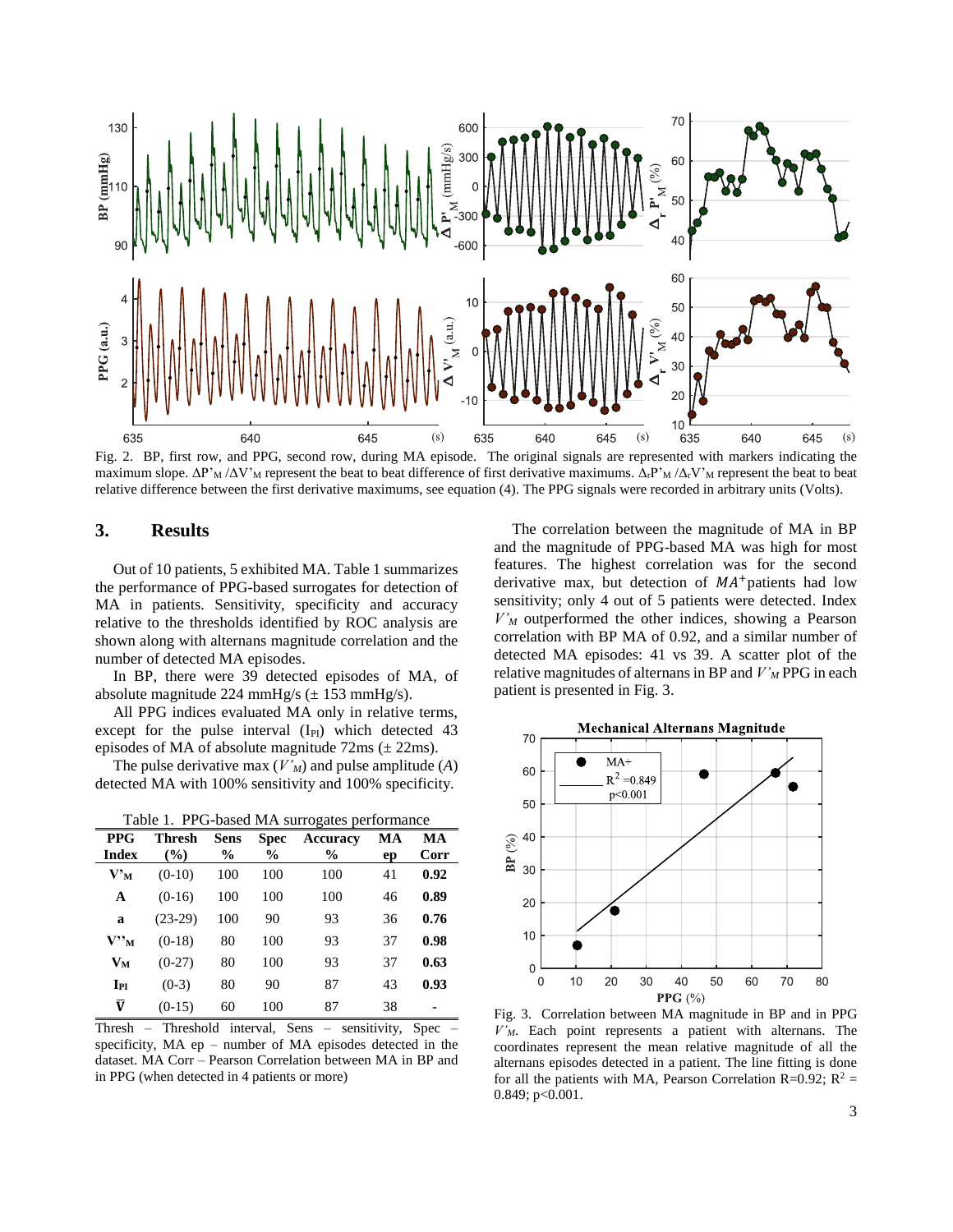

maximum slope.  $\Delta P'_{M}/\Delta V'_{M}$  represent the beat to beat difference of first derivative maximums.  $\Delta_{f}P'_{M}/\Delta_{f}V'_{M}$  represent the beat to beat relative difference between the first derivative maximums, see equation (4). The PPG signals were recorded in arbitrary units (Volts).

# **3. Results**

Out of 10 patients, 5 exhibited MA. Table 1 summarizes the performance of PPG-based surrogates for detection of MA in patients. Sensitivity, specificity and accuracy relative to the thresholds identified by ROC analysis are shown along with alternans magnitude correlation and the number of detected MA episodes.

In BP, there were 39 detected episodes of MA, of absolute magnitude 224 mmHg/s  $(\pm 153 \text{ mmHg/s})$ .

All PPG indices evaluated MA only in relative terms, except for the pulse interval  $(I_{PI})$  which detected 43 episodes of MA of absolute magnitude  $72 \text{ms}$  ( $\pm 22 \text{ms}$ ).

The pulse derivative max (*V'M*) and pulse amplitude (*A*) detected MA with 100% sensitivity and 100% specificity.

|  |  |  | DDC Throch Sons Spoo Accuracy MA M           |  |
|--|--|--|----------------------------------------------|--|
|  |  |  | Table 1. PPG-based MA surrogates performance |  |

| <b>PPG</b><br><b>Index</b> | Thresh<br>$($ %) | Sens<br>$\frac{6}{9}$ | Spec<br>$\frac{6}{9}$ | Accuracy<br>$\frac{6}{9}$ | MA<br>ep | MA<br>Corr     |
|----------------------------|------------------|-----------------------|-----------------------|---------------------------|----------|----------------|
| $V'_{M}$                   | $(0-10)$         | 100                   | 100                   | 100                       | 41       | 0.92           |
| A                          | $(0-16)$         | 100                   | 100                   | 100                       | 46       | 0.89           |
| a                          | $(23-29)$        | 100                   | 90                    | 93                        | 36       | 0.76           |
| $\mathbf{V"\mathbf{M}}$    | $(0-18)$         | 80                    | 100                   | 93                        | 37       | 0.98           |
| $V_M$                      | $(0-27)$         | 80                    | 100                   | 93                        | 37       | 0.63           |
| $I_{PI}$                   | $(0-3)$          | 80                    | 90                    | 87                        | 43       | 0.93           |
| $\bar{\pmb{\text{V}}}$     | $(0-15)$         | 60                    | 100                   | 87                        | 38       | $\blacksquare$ |

Thresh – Threshold interval, Sens – sensitivity, Spec – specificity, MA ep – number of MA episodes detected in the dataset. MA Corr – Pearson Correlation between MA in BP and in PPG (when detected in 4 patients or more)

The correlation between the magnitude of MA in BP and the magnitude of PPG-based MA was high for most features. The highest correlation was for the second derivative max, but detection of  $MA<sup>+</sup>$  patients had low sensitivity; only 4 out of 5 patients were detected. Index *V'<sup>M</sup>* outperformed the other indices, showing a Pearson correlation with BP MA of 0.92, and a similar number of detected MA episodes: 41 vs 39. A scatter plot of the relative magnitudes of alternans in BP and *V'<sup>M</sup>* PPG in each patient is presented in Fig. 3.



Fig. 3. Correlation between MA magnitude in BP and in PPG *V'M*. Each point represents a patient with alternans. The coordinates represent the mean relative magnitude of all the alternans episodes detected in a patient. The line fitting is done for all the patients with MA, Pearson Correlation R=0.92;  $R^2$  = 0.849; p<0.001.